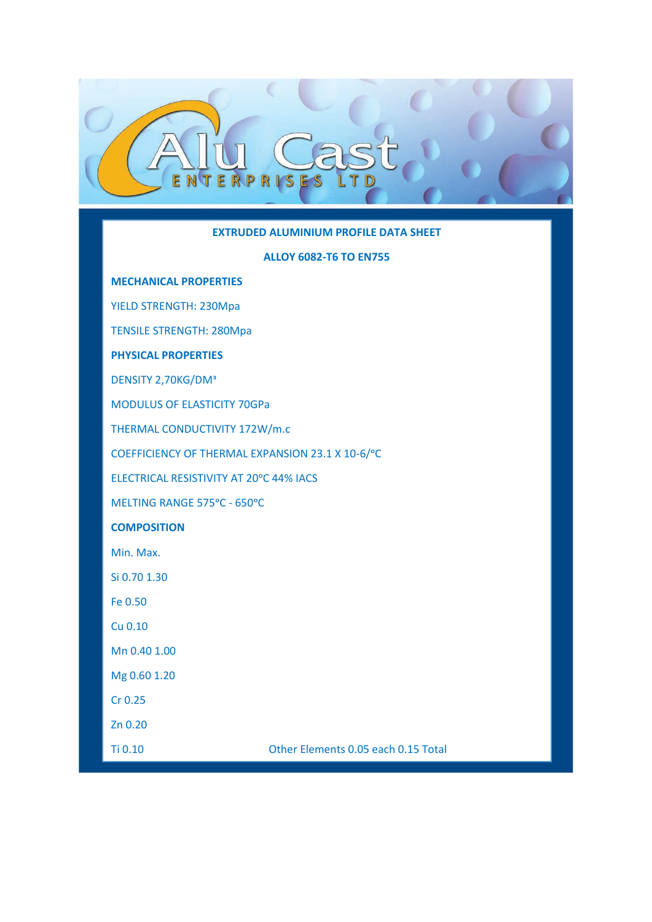### **EXTRUDED ALUMINIUM PROFILE DATA SHEET**

#### **ALLOY 6082-T6 TO EN755**

### **MECHANICAL PROPERTIES**

F J

 $\mathbb{R}$ 

YIELD STRENGTH: 230Mpa

TENSILE STRENGTH: 280Mpa

# **PHYSICAL PROPERTIES**

DENSITY 2,70KG/DM<sup>ª</sup>

MODULUS OF ELASTICITY 70GPa

THERMAL CONDUCTIVITY 172W/m.c

COEFFICIENCY OF THERMAL EXPANSION 23.1 X 10-6/°C

ELECTRICAL RESISTIVITY AT 20°C 44% IACS

MELTING RANGE 575°C - 650°C

# **COMPOSITION**

Min. Max.

Si 0.70 1.30

Fe 0.50

Cu 0.10

Mn 0.40 1.00

Mg 0.60 1.20

Cr 0.25

Zn 0.20

Ti 0.10 Other Elements 0.05 each 0.15 Total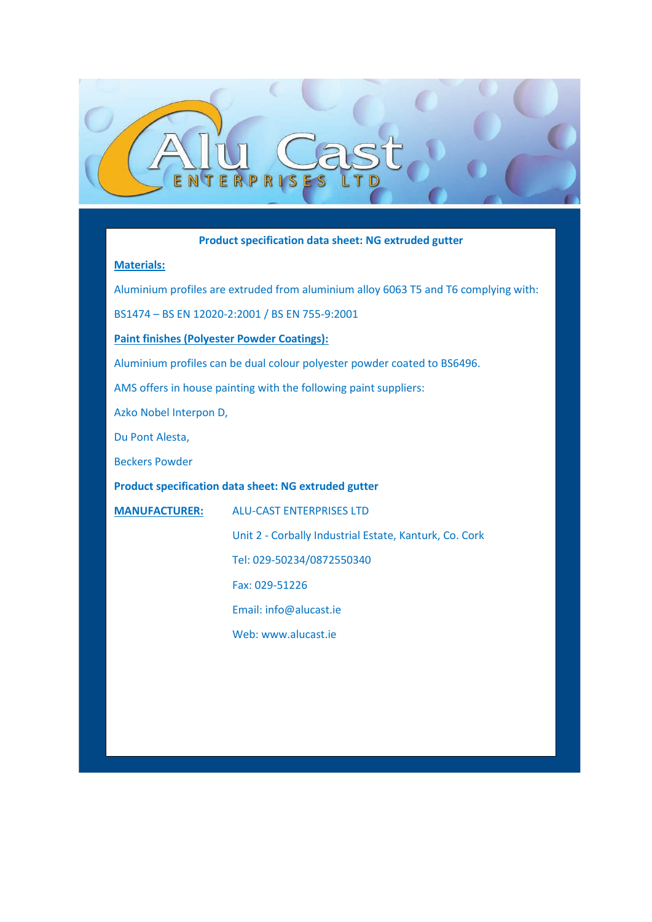# **Product specification data sheet: NG extruded gutter**

### **Materials:**

Aluminium profiles are extruded from aluminium alloy 6063 T5 and T6 complying with:

BS1474 – BS EN 12020-2:2001 / BS EN 755-9:2001

### **Paint finishes (Polyester Powder Coatings):**

F

Aluminium profiles can be dual colour polyester powder coated to BS6496.

AMS offers in house painting with the following paint suppliers:

Azko Nobel Interpon D,

Du Pont Alesta,

Beckers Powder

**Product specification data sheet: NG extruded gutter**

**MANUFACTURER:** ALU-CAST ENTERPRISES LTD

Unit 2 - Corbally Industrial Estate, Kanturk, Co. Cork

Tel: 029-50234/0872550340

Fax: 029-51226

Email: info@alucast.ie

Web: www.alucast.ie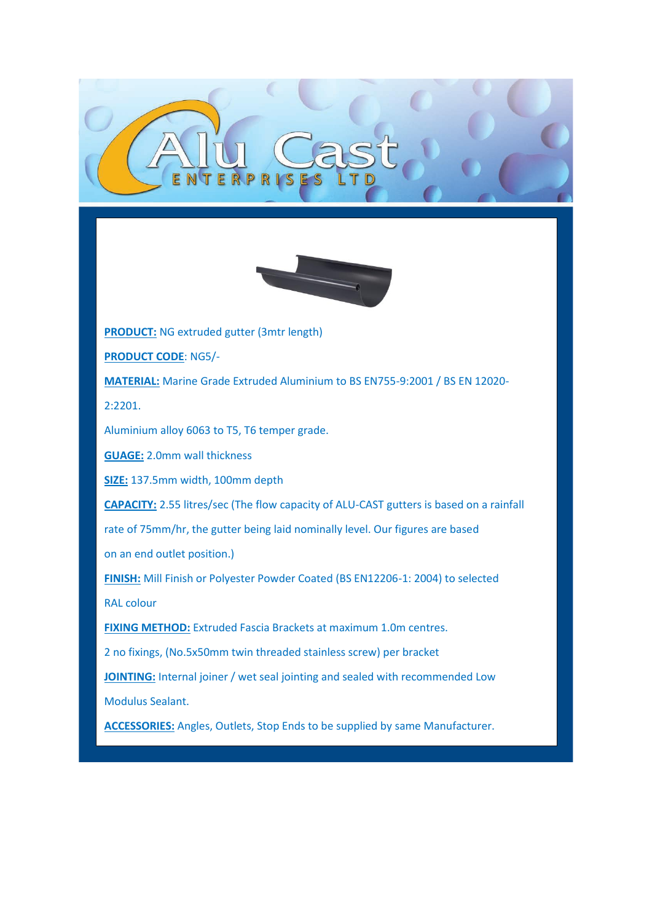

**PRODUCT:** NG extruded gutter (3mtr length)

**PRODUCT CODE**: NG5/-

**MATERIAL:** Marine Grade Extruded Aluminium to BS EN755-9:2001 / BS EN 12020-

2:2201.

Aluminium alloy 6063 to T5, T6 temper grade.

**GUAGE:** 2.0mm wall thickness

**SIZE:** 137.5mm width, 100mm depth

**CAPACITY:** 2.55 litres/sec (The flow capacity of ALU-CAST gutters is based on a rainfall

rate of 75mm/hr, the gutter being laid nominally level. Our figures are based

on an end outlet position.)

**FINISH:** Mill Finish or Polyester Powder Coated (BS EN12206-1: 2004) to selected RAL colour

**FIXING METHOD:** Extruded Fascia Brackets at maximum 1.0m centres.

2 no fixings, (No.5x50mm twin threaded stainless screw) per bracket

**JOINTING:** Internal joiner / wet seal jointing and sealed with recommended Low Modulus Sealant.

**ACCESSORIES:** Angles, Outlets, Stop Ends to be supplied by same Manufacturer.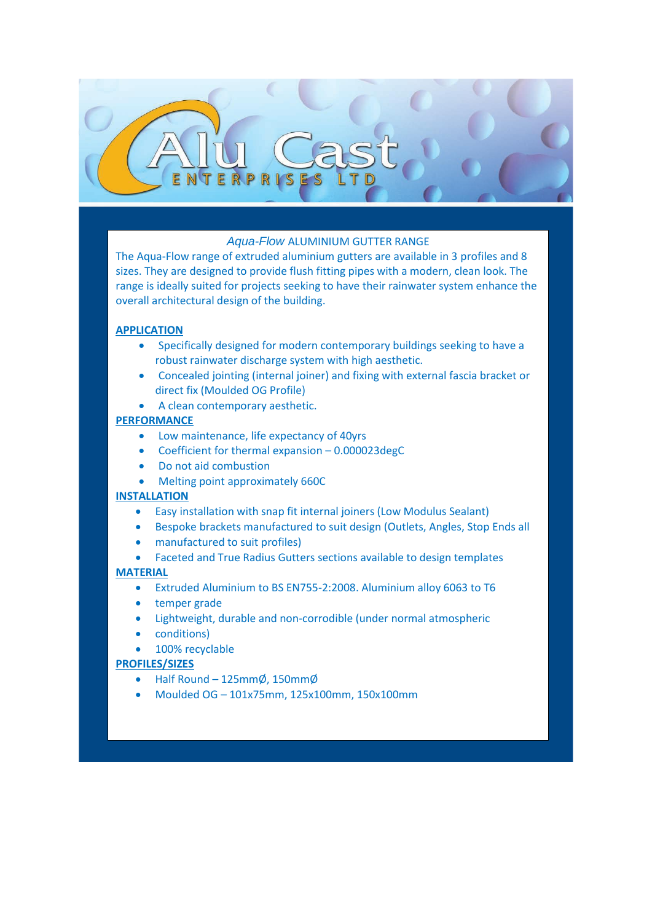# *Aqua-Flow* ALUMINIUM GUTTER RANGE

The Aqua-Flow range of extruded aluminium gutters are available in 3 profiles and 8 sizes. They are designed to provide flush fitting pipes with a modern, clean look. The range is ideally suited for projects seeking to have their rainwater system enhance the overall architectural design of the building.

### **APPLICATION**

- Specifically designed for modern contemporary buildings seeking to have a robust rainwater discharge system with high aesthetic.
- Concealed jointing (internal joiner) and fixing with external fascia bracket or direct fix (Moulded OG Profile)
- A clean contemporary aesthetic.

### **PERFORMANCE**

- Low maintenance, life expectancy of 40yrs
- Coefficient for thermal expansion 0.000023degC
- Do not aid combustion
- Melting point approximately 660C

### **INSTALLATION**

- Easy installation with snap fit internal joiners (Low Modulus Sealant)
- Bespoke brackets manufactured to suit design (Outlets, Angles, Stop Ends all
- manufactured to suit profiles)
- Faceted and True Radius Gutters sections available to design templates

### **MATERIAL**

- Extruded Aluminium to BS EN755-2:2008. Aluminium alloy 6063 to T6
- temper grade
- Lightweight, durable and non-corrodible (under normal atmospheric
- conditions)
- 100% recyclable

### **PROFILES/SIZES**

- Half Round 125mmØ, 150mmØ
- Moulded OG 101x75mm, 125x100mm, 150x100mm